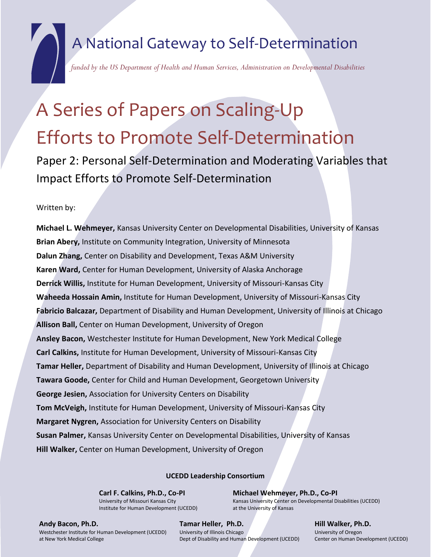## A National Gateway to Self-Determination

 *funded by the US Department of Health and Human Services, Administration on Developmental Disabilities*

# A Series of Papers on Scaling-Up Efforts to Promote Self-Determination

Paper 2: Personal Self-Determination and Moderating Variables that Impact Efforts to Promote Self-Determination

#### Written by:

**Michael L. Wehmeyer,** Kansas University Center on Developmental Disabilities, University of Kansas **Brian Abery,** Institute on Community Integration, University of Minnesota **Dalun Zhang,** Center on Disability and Development, Texas A&M University **Karen Ward,** Center for Human Development, University of Alaska Anchorage **Derrick Willis,** Institute for Human Development, University of Missouri-Kansas City **Waheeda Hossain Amin,** Institute for Human Development, University of Missouri-Kansas City **Fabricio Balcazar,** Department of Disability and Human Development, University of Illinois at Chicago **Allison Ball,** Center on Human Development, University of Oregon **Ansley Bacon,** Westchester Institute for Human Development, New York Medical College **Carl Calkins,** Institute for Human Development, University of Missouri-Kansas City **Tamar Heller,** Department of Disability and Human Development, University of Illinois at Chicago **Tawara Goode,** Center for Child and Human Development, Georgetown University **George Jesien,** Association for University Centers on Disability **Tom McVeigh,** Institute for Human Development, University of Missouri-Kansas City **Margaret Nygren,** Association for University Centers on Disability **Susan Palmer,** Kansas University Center on Developmental Disabilities, University of Kansas **Hill Walker,** Center on Human Development, University of Oregon

#### **UCEDD Leadership Consortium**

## **Carl F. Calkins, Ph.D., Co-PI**

University of Missouri Kansas City Institute for Human Development (UCEDD) **Michael Wehmeyer, Ph.D., Co-PI** Kansas University Center on Developmental Disabilities (UCEDD) at the University of Kansas

**Andy Bacon, Ph.D.** Westchester Institute for Human Development (UCEDD) at New York Medical College

**Tamar Heller, Ph.D.** University of Illinois Chicago Dept of Disability and Human Development (UCEDD)

**Hill Walker, Ph.D.** University of Oregon Center on Human Development (UCEDD)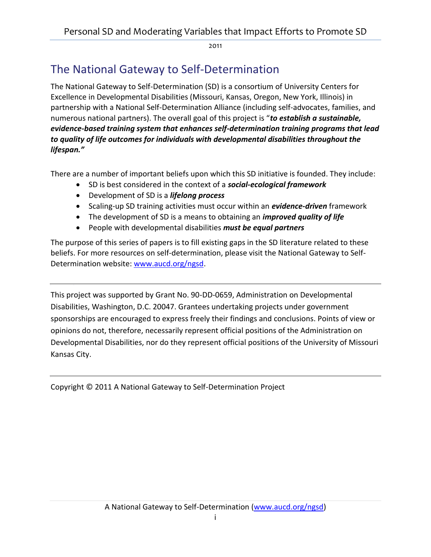### The National Gateway to Self-Determination

The National Gateway to Self-Determination (SD) is a consortium of University Centers for Excellence in Developmental Disabilities (Missouri, Kansas, Oregon, New York, Illinois) in partnership with a National Self-Determination Alliance (including self-advocates, families, and numerous national partners). The overall goal of this project is "*to establish a sustainable, evidence-based training system that enhances self-determination training programs that lead to quality of life outcomes for individuals with developmental disabilities throughout the lifespan."* 

There are a number of important beliefs upon which this SD initiative is founded. They include:

- SD is best considered in the context of a *social-ecological framework*
- Development of SD is a *lifelong process*
- Scaling-up SD training activities must occur within an *evidence-driven* framework
- The development of SD is a means to obtaining an *improved quality of life*
- People with developmental disabilities *must be equal partners*

The purpose of this series of papers is to fill existing gaps in the SD literature related to these beliefs. For more resources on self-determination, please visit the National Gateway to Self-Determination website: [www.aucd.org/ngsd.](http://www.aucd.org/ngsd)

This project was supported by Grant No. 90-DD-0659, Administration on Developmental Disabilities, Washington, D.C. 20047. Grantees undertaking projects under government sponsorships are encouraged to express freely their findings and conclusions. Points of view or opinions do not, therefore, necessarily represent official positions of the Administration on Developmental Disabilities, nor do they represent official positions of the University of Missouri Kansas City.

Copyright © 2011 A National Gateway to Self-Determination Project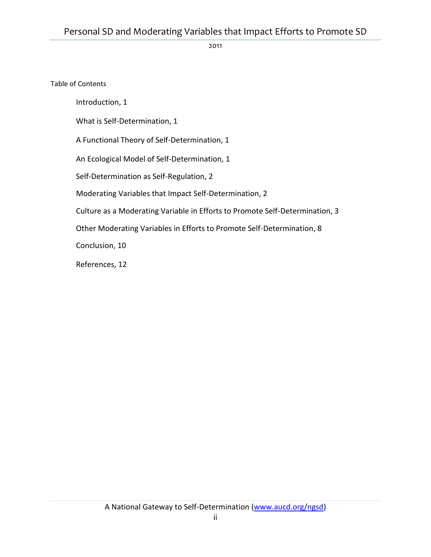Table of Contents

Introduction, 1

What is Self-Determination, 1

A Functional Theory of Self-Determination, 1

An Ecological Model of Self-Determination, 1

Self-Determination as Self-Regulation, 2

Moderating Variables that Impact Self-Determination, 2

Culture as a Moderating Variable in Efforts to Promote Self-Determination, 3

Other Moderating Variables in Efforts to Promote Self-Determination, 8

Conclusion, 10

References, 12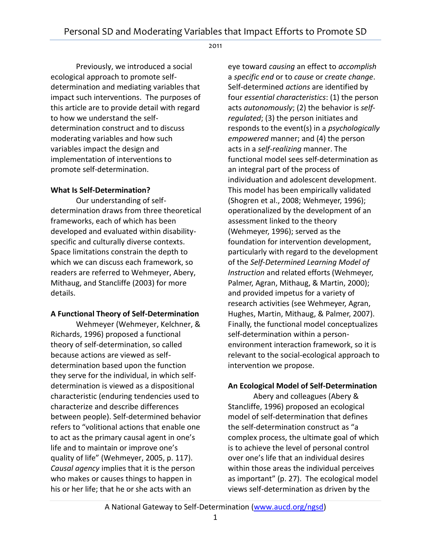Previously, we introduced a social ecological approach to promote selfdetermination and mediating variables that impact such interventions. The purposes of this article are to provide detail with regard to how we understand the selfdetermination construct and to discuss moderating variables and how such variables impact the design and implementation of interventions to promote self-determination.

#### **What Is Self-Determination?**

Our understanding of selfdetermination draws from three theoretical frameworks, each of which has been developed and evaluated within disabilityspecific and culturally diverse contexts. Space limitations constrain the depth to which we can discuss each framework, so readers are referred to Wehmeyer, Abery, Mithaug, and Stancliffe (2003) for more details.

#### **A Functional Theory of Self-Determination**

Wehmeyer (Wehmeyer, Kelchner, & Richards, 1996) proposed a functional theory of self-determination, so called because actions are viewed as selfdetermination based upon the function they serve for the individual, in which selfdetermination is viewed as a dispositional characteristic (enduring tendencies used to characterize and describe differences between people). Self-determined behavior refers to "volitional actions that enable one to act as the primary causal agent in one's life and to maintain or improve one's quality of life" (Wehmeyer, 2005, p. 117). *Causal agency* implies that it is the person who makes or causes things to happen in his or her life; that he or she acts with an

eye toward *causing* an effect to *accomplish* a *specific end* or to *cause* or *create change*. Self-determined *actions* are identified by four *essential characteristics*: (1) the person acts *autonomously*; (2) the behavior is *selfregulated*; (3) the person initiates and responds to the event(s) in a *psychologically empowered* manner; and (4) the person acts in a *self-realizing* manner. The functional model sees self-determination as an integral part of the process of individuation and adolescent development. This model has been empirically validated (Shogren et al., 2008; Wehmeyer, 1996); operationalized by the development of an assessment linked to the theory (Wehmeyer, 1996); served as the foundation for intervention development, particularly with regard to the development of the *Self-Determined Learning Model of Instruction* and related efforts (Wehmeyer, Palmer, Agran, Mithaug, & Martin, 2000); and provided impetus for a variety of research activities (see Wehmeyer, Agran, Hughes, Martin, Mithaug, & Palmer, 2007). Finally, the functional model conceptualizes self-determination within a personenvironment interaction framework, so it is relevant to the social-ecological approach to intervention we propose.

#### **An Ecological Model of Self-Determination**

Abery and colleagues (Abery & Stancliffe, 1996) proposed an ecological model of self-determination that defines the self-determination construct as "a complex process, the ultimate goal of which is to achieve the level of personal control over one's life that an individual desires within those areas the individual perceives as important" (p. 27). The ecological model views self-determination as driven by the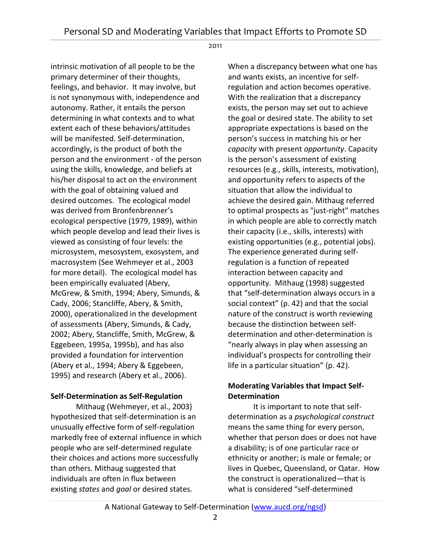intrinsic motivation of all people to be the primary determiner of their thoughts, feelings, and behavior. It may involve, but is not synonymous with, independence and autonomy. Rather, it entails the person determining in what contexts and to what extent each of these behaviors/attitudes will be manifested. Self-determination, accordingly, is the product of both the person and the environment - of the person using the skills, knowledge, and beliefs at his/her disposal to act on the environment with the goal of obtaining valued and desired outcomes. The ecological model was derived from Bronfenbrenner's ecological perspective (1979, 1989), within which people develop and lead their lives is viewed as consisting of four levels: the microsystem, mesosystem, exosystem, and macrosystem (See Wehmeyer et al., 2003 for more detail). The ecological model has been empirically evaluated (Abery, McGrew, & Smith, 1994; Abery, Simunds, & Cady, 2006; Stancliffe, Abery, & Smith, 2000), operationalized in the development of assessments (Abery, Simunds, & Cady, 2002; Abery, Stancliffe, Smith, McGrew, & Eggebeen, 1995a, 1995b), and has also provided a foundation for intervention (Abery et al., 1994; Abery & Eggebeen, 1995) and research (Abery et al., 2006).

#### **Self-Determination as Self-Regulation**

Mithaug (Wehmeyer, et al., 2003) hypothesized that self-determination is an unusually effective form of self-regulation markedly free of external influence in which people who are self-determined regulate their choices and actions more successfully than others. Mithaug suggested that individuals are often in flux between existing *states* and *goal* or desired states.

When a discrepancy between what one has and wants exists, an incentive for selfregulation and action becomes operative. With the realization that a discrepancy exists, the person may set out to achieve the goal or desired state. The ability to set appropriate expectations is based on the person's success in matching his or her *capacity* with present *opportunity*. Capacity is the person's assessment of existing resources (e.g., skills, interests, motivation), and opportunity refers to aspects of the situation that allow the individual to achieve the desired gain. Mithaug referred to optimal prospects as "just-right" matches in which people are able to correctly match their capacity (i.e., skills, interests) with existing opportunities (e.g., potential jobs). The experience generated during selfregulation is a function of repeated interaction between capacity and opportunity. Mithaug (1998) suggested that "self-determination always occurs in a social context" (p. 42) and that the social nature of the construct is worth reviewing because the distinction between selfdetermination and other-determination is "nearly always in play when assessing an individual's prospects for controlling their life in a particular situation" (p. 42).

#### **Moderating Variables that Impact Self-Determination**

It is important to note that selfdetermination as a *psychological construct* means the same thing for every person, whether that person does or does not have a disability; is of one particular race or ethnicity or another; is male or female; or lives in Quebec, Queensland, or Qatar. How the construct is operationalized—that is what is considered "self-determined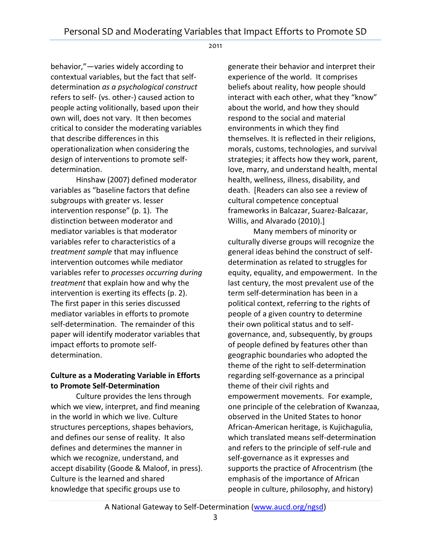behavior,"—varies widely according to contextual variables, but the fact that selfdetermination *as a psychological construct* refers to self- (vs. other-) caused action to people acting volitionally, based upon their own will, does not vary. It then becomes critical to consider the moderating variables that describe differences in this operationalization when considering the design of interventions to promote selfdetermination.

Hinshaw (2007) defined moderator variables as "baseline factors that define subgroups with greater vs. lesser intervention response" (p. 1). The distinction between moderator and mediator variables is that moderator variables refer to characteristics of a *treatment sample* that may influence intervention outcomes while mediator variables refer to *processes occurring during treatment* that explain how and why the intervention is exerting its effects (p. 2). The first paper in this series discussed mediator variables in efforts to promote self-determination. The remainder of this paper will identify moderator variables that impact efforts to promote selfdetermination.

#### **Culture as a Moderating Variable in Efforts to Promote Self-Determination**

Culture provides the lens through which we view, interpret, and find meaning in the world in which we live. Culture structures perceptions, shapes behaviors, and defines our sense of reality. It also defines and determines the manner in which we recognize, understand, and accept disability (Goode & Maloof, in press). Culture is the learned and shared knowledge that specific groups use to

generate their behavior and interpret their experience of the world. It comprises beliefs about reality, how people should interact with each other, what they "know" about the world, and how they should respond to the social and material environments in which they find themselves. It is reflected in their religions, morals, customs, technologies, and survival strategies; it affects how they work, parent, love, marry, and understand health, mental health, wellness, illness, disability, and death. [Readers can also see a review of cultural competence conceptual frameworks in Balcazar, Suarez-Balcazar, Willis, and Alvarado (2010).]

Many members of minority or culturally diverse groups will recognize the general ideas behind the construct of selfdetermination as related to struggles for equity, equality, and empowerment. In the last century, the most prevalent use of the term self-determination has been in a political context, referring to the rights of people of a given country to determine their own political status and to selfgovernance, and, subsequently, by groups of people defined by features other than geographic boundaries who adopted the theme of the right to self-determination regarding self-governance as a principal theme of their civil rights and empowerment movements. For example, one principle of the celebration of Kwanzaa, observed in the United States to honor African-American heritage, is Kujichagulia, which translated means self-determination and refers to the principle of self-rule and self-governance as it expresses and supports the practice of Afrocentrism (the emphasis of the importance of African people in culture, philosophy, and history)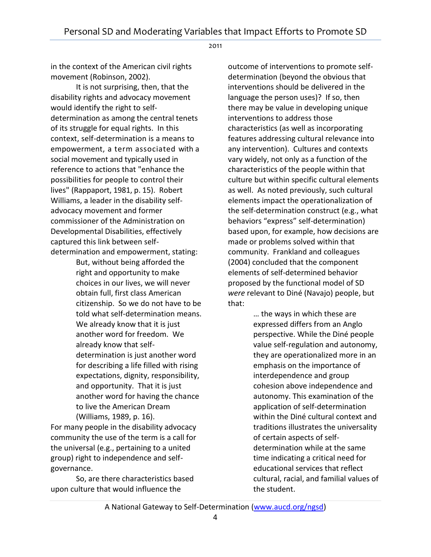in the context of the American civil rights movement (Robinson, 2002).

It is not surprising, then, that the disability rights and advocacy movement would identify the right to selfdetermination as among the central tenets of its struggle for equal rights. In this context, self-determination is a means to empowerment, a term associated with a social movement and typically used in reference to actions that "enhance the possibilities for people to control their lives" (Rappaport, 1981, p. 15). Robert Williams, a leader in the disability selfadvocacy movement and former commissioner of the Administration on Developmental Disabilities, effectively captured this link between selfdetermination and empowerment, stating:

> But, without being afforded the right and opportunity to make choices in our lives, we will never obtain full, first class American citizenship. So we do not have to be told what self-determination means. We already know that it is just another word for freedom. We already know that selfdetermination is just another word for describing a life filled with rising expectations, dignity, responsibility, and opportunity. That it is just another word for having the chance to live the American Dream (Williams, 1989, p. 16).

For many people in the disability advocacy community the use of the term is a call for the universal (e.g., pertaining to a united group) right to independence and selfgovernance.

So, are there characteristics based upon culture that would influence the

outcome of interventions to promote selfdetermination (beyond the obvious that interventions should be delivered in the language the person uses)? If so, then there may be value in developing unique interventions to address those characteristics (as well as incorporating features addressing cultural relevance into any intervention). Cultures and contexts vary widely, not only as a function of the characteristics of the people within that culture but within specific cultural elements as well. As noted previously, such cultural elements impact the operationalization of the self-determination construct (e.g., what behaviors "express" self-determination) based upon, for example, how decisions are made or problems solved within that community. Frankland and colleagues (2004) concluded that the component elements of self-determined behavior proposed by the functional model of SD *were* relevant to Diné (Navajo) people, but that:

> … the ways in which these are expressed differs from an Anglo perspective. While the Diné people value self-regulation and autonomy, they are operationalized more in an emphasis on the importance of interdependence and group cohesion above independence and autonomy. This examination of the application of self-determination within the Diné cultural context and traditions illustrates the universality of certain aspects of selfdetermination while at the same time indicating a critical need for educational services that reflect cultural, racial, and familial values of the student.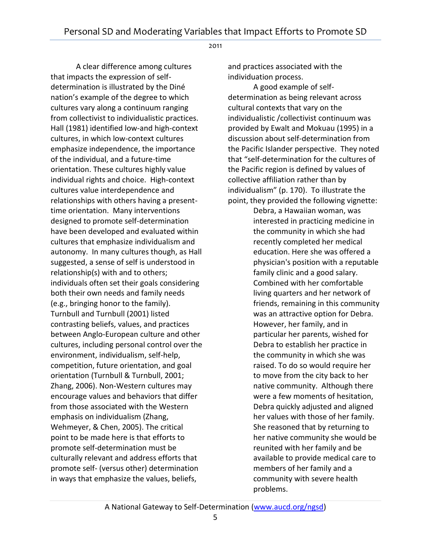A clear difference among cultures that impacts the expression of selfdetermination is illustrated by the Diné nation's example of the degree to which cultures vary along a continuum ranging from collectivist to individualistic practices. Hall (1981) identified low-and high-context cultures, in which low-context cultures emphasize independence, the importance of the individual, and a future-time orientation. These cultures highly value individual rights and choice. High-context cultures value interdependence and relationships with others having a presenttime orientation. Many interventions designed to promote self-determination have been developed and evaluated within cultures that emphasize individualism and autonomy. In many cultures though, as Hall suggested, a sense of self is understood in relationship(s) with and to others; individuals often set their goals considering both their own needs and family needs (e.g., bringing honor to the family). Turnbull and Turnbull (2001) listed contrasting beliefs, values, and practices between Anglo-European culture and other cultures, including personal control over the environment, individualism, self-help, competition, future orientation, and goal orientation (Turnbull & Turnbull, 2001; Zhang, 2006). Non-Western cultures may encourage values and behaviors that differ from those associated with the Western emphasis on individualism (Zhang, Wehmeyer, & Chen, 2005). The critical point to be made here is that efforts to promote self-determination must be culturally relevant and address efforts that promote self- (versus other) determination in ways that emphasize the values, beliefs,

and practices associated with the individuation process.

A good example of selfdetermination as being relevant across cultural contexts that vary on the individualistic /collectivist continuum was provided by Ewalt and Mokuau (1995) in a discussion about self-determination from the Pacific Islander perspective. They noted that "self-determination for the cultures of the Pacific region is defined by values of collective affiliation rather than by individualism" (p. 170). To illustrate the point, they provided the following vignette:

Debra, a Hawaiian woman, was interested in practicing medicine in the community in which she had recently completed her medical education. Here she was offered a physician's position with a reputable family clinic and a good salary. Combined with her comfortable living quarters and her network of friends, remaining in this community was an attractive option for Debra. However, her family, and in particular her parents, wished for Debra to establish her practice in the community in which she was raised. To do so would require her to move from the city back to her native community. Although there were a few moments of hesitation, Debra quickly adjusted and aligned her values with those of her family. She reasoned that by returning to her native community she would be reunited with her family and be available to provide medical care to members of her family and a community with severe health problems.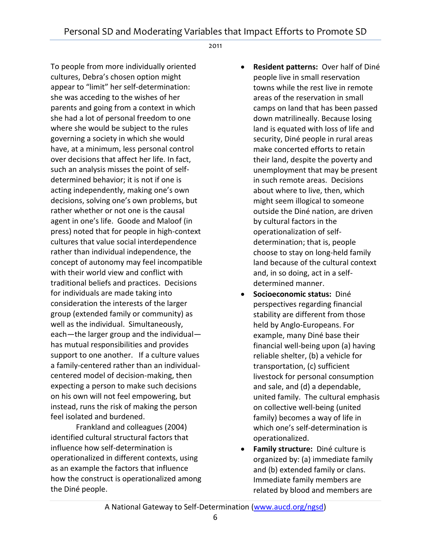To people from more individually oriented cultures, Debra's chosen option might appear to "limit" her self-determination: she was acceding to the wishes of her parents and going from a context in which she had a lot of personal freedom to one where she would be subject to the rules governing a society in which she would have, at a minimum, less personal control over decisions that affect her life. In fact, such an analysis misses the point of selfdetermined behavior; it is not if one is acting independently, making one's own decisions, solving one's own problems, but rather whether or not one is the causal agent in one's life. Goode and Maloof (in press) noted that for people in high-context cultures that value social interdependence rather than individual independence, the concept of autonomy may feel incompatible with their world view and conflict with traditional beliefs and practices. Decisions for individuals are made taking into consideration the interests of the larger group (extended family or community) as well as the individual. Simultaneously, each—the larger group and the individual has mutual responsibilities and provides support to one another. If a culture values a family-centered rather than an individualcentered model of decision-making, then expecting a person to make such decisions on his own will not feel empowering, but instead, runs the risk of making the person feel isolated and burdened.

Frankland and colleagues (2004) identified cultural structural factors that influence how self-determination is operationalized in different contexts, using as an example the factors that influence how the construct is operationalized among the Diné people.

- **Resident patterns:** Over half of Diné people live in small reservation towns while the rest live in remote areas of the reservation in small camps on land that has been passed down matrilineally. Because losing land is equated with loss of life and security, Diné people in rural areas make concerted efforts to retain their land, despite the poverty and unemployment that may be present in such remote areas. Decisions about where to live, then, which might seem illogical to someone outside the Diné nation, are driven by cultural factors in the operationalization of selfdetermination; that is, people choose to stay on long-held family land because of the cultural context and, in so doing, act in a selfdetermined manner.
- **Socioeconomic status:** Diné perspectives regarding financial stability are different from those held by Anglo-Europeans. For example, many Diné base their financial well-being upon (a) having reliable shelter, (b) a vehicle for transportation, (c) sufficient livestock for personal consumption and sale, and (d) a dependable, united family. The cultural emphasis on collective well-being (united family) becomes a way of life in which one's self-determination is operationalized.
- **Family structure:**Diné culture is organized by: (a) immediate family and (b) extended family or clans. Immediate family members are related by blood and members are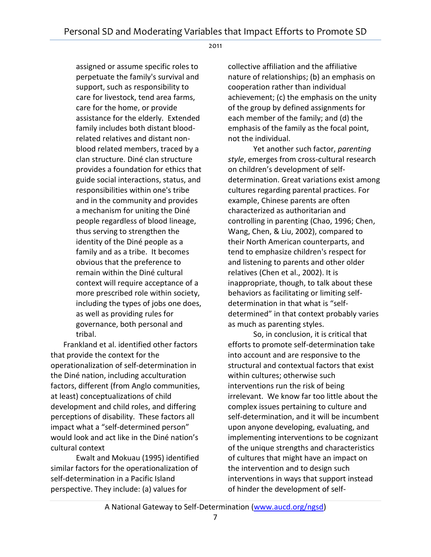assigned or assume specific roles to perpetuate the family's survival and support, such as responsibility to care for livestock, tend area farms, care for the home, or provide assistance for the elderly. Extended family includes both distant bloodrelated relatives and distant nonblood related members, traced by a clan structure. Diné clan structure provides a foundation for ethics that guide social interactions, status, and responsibilities within one's tribe and in the community and provides a mechanism for uniting the Diné people regardless of blood lineage, thus serving to strengthen the identity of the Diné people as a family and as a tribe. It becomes obvious that the preference to remain within the Diné cultural context will require acceptance of a more prescribed role within society, including the types of jobs one does, as well as providing rules for governance, both personal and tribal.

Frankland et al. identified other factors that provide the context for the operationalization of self-determination in the Diné nation, including acculturation factors, different (from Anglo communities, at least) conceptualizations of child development and child roles, and differing perceptions of disability. These factors all impact what a "self-determined person" would look and act like in the Diné nation's cultural context

Ewalt and Mokuau (1995) identified similar factors for the operationalization of self-determination in a Pacific Island perspective. They include: (a) values for

collective affiliation and the affiliative nature of relationships; (b) an emphasis on cooperation rather than individual achievement; (c) the emphasis on the unity of the group by defined assignments for each member of the family; and (d) the emphasis of the family as the focal point, not the individual.

Yet another such factor, *parenting style*, emerges from cross-cultural research on children's development of selfdetermination. Great variations exist among cultures regarding parental practices. For example, Chinese parents are often characterized as authoritarian and controlling in parenting (Chao, 1996; Chen, Wang, Chen, & Liu, 2002), compared to their North American counterparts, and tend to emphasize children's respect for and listening to parents and other older relatives (Chen et al., 2002). It is inappropriate, though, to talk about these behaviors as facilitating or limiting selfdetermination in that what is "selfdetermined" in that context probably varies as much as parenting styles.

So, in conclusion, it is critical that efforts to promote self-determination take into account and are responsive to the structural and contextual factors that exist within cultures; otherwise such interventions run the risk of being irrelevant. We know far too little about the complex issues pertaining to culture and self-determination, and it will be incumbent upon anyone developing, evaluating, and implementing interventions to be cognizant of the unique strengths and characteristics of cultures that might have an impact on the intervention and to design such interventions in ways that support instead of hinder the development of self-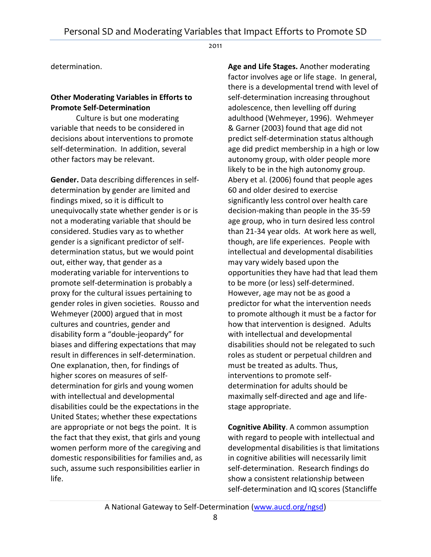determination.

#### **Other Moderating Variables in Efforts to Promote Self-Determination**

Culture is but one moderating variable that needs to be considered in decisions about interventions to promote self-determination. In addition, several other factors may be relevant.

**Gender.** Data describing differences in selfdetermination by gender are limited and findings mixed, so it is difficult to unequivocally state whether gender is or is not a moderating variable that should be considered. Studies vary as to whether gender is a significant predictor of selfdetermination status, but we would point out, either way, that gender as a moderating variable for interventions to promote self-determination is probably a proxy for the cultural issues pertaining to gender roles in given societies. Rousso and Wehmeyer (2000) argued that in most cultures and countries, gender and disability form a "double-jeopardy" for biases and differing expectations that may result in differences in self-determination. One explanation, then, for findings of higher scores on measures of selfdetermination for girls and young women with intellectual and developmental disabilities could be the expectations in the United States; whether these expectations are appropriate or not begs the point. It is the fact that they exist, that girls and young women perform more of the caregiving and domestic responsibilities for families and, as such, assume such responsibilities earlier in life.

**Age and Life Stages.** Another moderating factor involves age or life stage. In general, there is a developmental trend with level of self-determination increasing throughout adolescence, then levelling off during adulthood (Wehmeyer, 1996). Wehmeyer & Garner (2003) found that age did not predict self-determination status although age did predict membership in a high or low autonomy group, with older people more likely to be in the high autonomy group. Abery et al. (2006) found that people ages 60 and older desired to exercise significantly less control over health care decision-making than people in the 35-59 age group, who in turn desired less control than 21-34 year olds. At work here as well, though, are life experiences. People with intellectual and developmental disabilities may vary widely based upon the opportunities they have had that lead them to be more (or less) self-determined. However, age may not be as good a predictor for what the intervention needs to promote although it must be a factor for how that intervention is designed. Adults with intellectual and developmental disabilities should not be relegated to such roles as student or perpetual children and must be treated as adults. Thus, interventions to promote selfdetermination for adults should be maximally self-directed and age and lifestage appropriate.

**Cognitive Ability**. A common assumption with regard to people with intellectual and developmental disabilities is that limitations in cognitive abilities will necessarily limit self-determination. Research findings do show a consistent relationship between self-determination and IQ scores (Stancliffe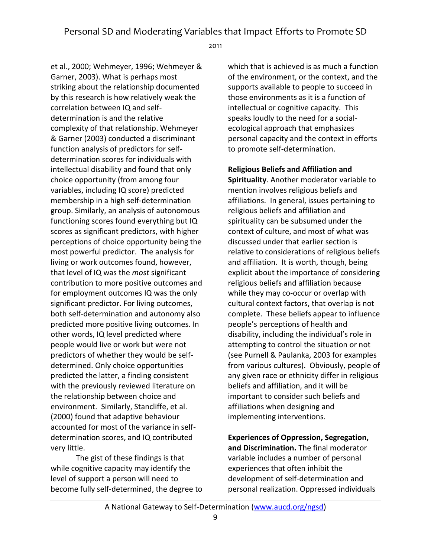et al., 2000; Wehmeyer, 1996; Wehmeyer & Garner, 2003). What is perhaps most striking about the relationship documented by this research is how relatively weak the correlation between IQ and selfdetermination is and the relative complexity of that relationship. Wehmeyer & Garner (2003) conducted a discriminant function analysis of predictors for selfdetermination scores for individuals with intellectual disability and found that only choice opportunity (from among four variables, including IQ score) predicted membership in a high self-determination group. Similarly, an analysis of autonomous functioning scores found everything but IQ scores as significant predictors, with higher perceptions of choice opportunity being the most powerful predictor. The analysis for living or work outcomes found, however, that level of IQ was the *most* significant contribution to more positive outcomes and for employment outcomes IQ was the only significant predictor. For living outcomes, both self-determination and autonomy also predicted more positive living outcomes. In other words, IQ level predicted where people would live or work but were not predictors of whether they would be selfdetermined. Only choice opportunities predicted the latter, a finding consistent with the previously reviewed literature on the relationship between choice and environment. Similarly, Stancliffe, et al. (2000) found that adaptive behaviour accounted for most of the variance in selfdetermination scores, and IQ contributed very little.

The gist of these findings is that while cognitive capacity may identify the level of support a person will need to become fully self-determined, the degree to which that is achieved is as much a function of the environment, or the context, and the supports available to people to succeed in those environments as it is a function of intellectual or cognitive capacity. This speaks loudly to the need for a socialecological approach that emphasizes personal capacity and the context in efforts to promote self-determination.

**Religious Beliefs and Affiliation and Spirituality**. Another moderator variable to mention involves religious beliefs and affiliations. In general, issues pertaining to religious beliefs and affiliation and spirituality can be subsumed under the context of culture, and most of what was discussed under that earlier section is relative to considerations of religious beliefs and affiliation. It is worth, though, being explicit about the importance of considering religious beliefs and affiliation because while they may co-occur or overlap with cultural context factors, that overlap is not complete. These beliefs appear to influence people's perceptions of health and disability, including the individual's role in attempting to control the situation or not (see Purnell & Paulanka, 2003 for examples from various cultures). Obviously, people of any given race or ethnicity differ in religious beliefs and affiliation, and it will be important to consider such beliefs and affiliations when designing and implementing interventions.

**Experiences of Oppression, Segregation, and Discrimination.** The final moderator variable includes a number of personal experiences that often inhibit the development of self-determination and personal realization. Oppressed individuals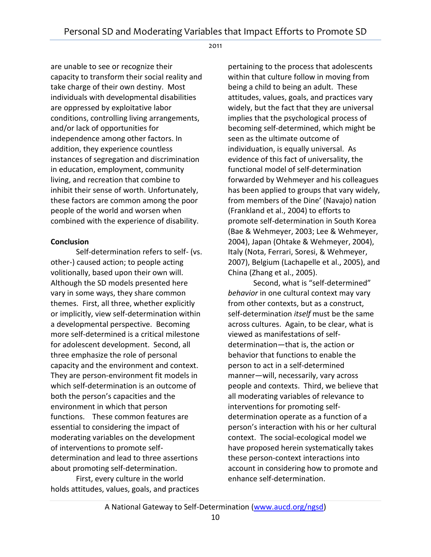are unable to see or recognize their capacity to transform their social reality and take charge of their own destiny. Most individuals with developmental disabilities are oppressed by exploitative labor conditions, controlling living arrangements, and/or lack of opportunities for independence among other factors. In addition, they experience countless instances of segregation and discrimination in education, employment, community living, and recreation that combine to inhibit their sense of worth. Unfortunately, these factors are common among the poor people of the world and worsen when combined with the experience of disability.

#### **Conclusion**

Self-determination refers to self- (vs. other-) caused action; to people acting volitionally, based upon their own will. Although the SD models presented here vary in some ways, they share common themes. First, all three, whether explicitly or implicitly, view self-determination within a developmental perspective. Becoming more self-determined is a critical milestone for adolescent development. Second, all three emphasize the role of personal capacity and the environment and context. They are person-environment fit models in which self-determination is an outcome of both the person's capacities and the environment in which that person functions. These common features are essential to considering the impact of moderating variables on the development of interventions to promote selfdetermination and lead to three assertions about promoting self-determination.

First, every culture in the world holds attitudes, values, goals, and practices pertaining to the process that adolescents within that culture follow in moving from being a child to being an adult. These attitudes, values, goals, and practices vary widely, but the fact that they are universal implies that the psychological process of becoming self-determined, which might be seen as the ultimate outcome of individuation, is equally universal. As evidence of this fact of universality, the functional model of self-determination forwarded by Wehmeyer and his colleagues has been applied to groups that vary widely, from members of the Dine' (Navajo) nation (Frankland et al., 2004) to efforts to promote self-determination in South Korea (Bae & Wehmeyer, 2003; Lee & Wehmeyer, 2004), Japan (Ohtake & Wehmeyer, 2004), Italy (Nota, Ferrari, Soresi, & Wehmeyer, 2007), Belgium (Lachapelle et al., 2005), and China (Zhang et al., 2005).

Second, what is "self-determined" *behavior* in one cultural context may vary from other contexts, but as a construct, self-determination *itself* must be the same across cultures. Again, to be clear, what is viewed as manifestations of selfdetermination—that is, the action or behavior that functions to enable the person to act in a self-determined manner—will, necessarily, vary across people and contexts. Third, we believe that all moderating variables of relevance to interventions for promoting selfdetermination operate as a function of a person's interaction with his or her cultural context. The social-ecological model we have proposed herein systematically takes these person-context interactions into account in considering how to promote and enhance self-determination.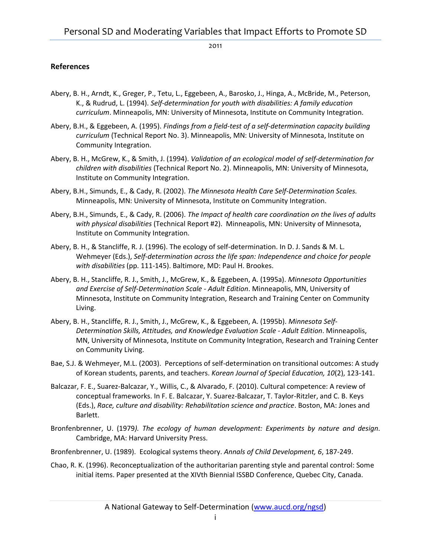#### **References**

- Abery, B. H., Arndt, K., Greger, P., Tetu, L., Eggebeen, A., Barosko, J., Hinga, A., McBride, M., Peterson, K., & Rudrud, L. (1994). *Self-determination for youth with disabilities: A family education curriculum*. Minneapolis, MN: University of Minnesota, Institute on Community Integration.
- Abery, B.H., & Eggebeen, A. (1995). *Findings from a field-test of a self-determination capacity building curriculum* (Technical Report No. 3). Minneapolis, MN: University of Minnesota, Institute on Community Integration.
- Abery, B. H., McGrew, K., & Smith, J. (1994). *Validation of an ecological model of self-determination for children with disabilities* (Technical Report No. 2). Minneapolis, MN: University of Minnesota, Institute on Community Integration.
- Abery, B.H., Simunds, E., & Cady, R. (2002). *The Minnesota Health Care Self-Determination Scales.* Minneapolis, MN: University of Minnesota, Institute on Community Integration.
- Abery, B.H., Simunds, E., & Cady, R. (2006). *The Impact of health care coordination on the lives of adults with physical disabilities* (Technical Report #2). Minneapolis, MN: University of Minnesota, Institute on Community Integration.
- Abery, B. H., & Stancliffe, R. J. (1996). The ecology of self-determination. In D. J. Sands & M. L. Wehmeyer (Eds.), *Self-determination across the life span: Independence and choice for people with disabilities* (pp. 111-145). Baltimore, MD: Paul H. Brookes.
- Abery, B. H., Stancliffe, R. J., Smith, J., McGrew, K., & Eggebeen, A. (1995a). *Minnesota Opportunities and Exercise of Self-Determination Scale - Adult Edition*. Minneapolis, MN, University of Minnesota, Institute on Community Integration, Research and Training Center on Community Living.
- Abery, B. H., Stancliffe, R. J., Smith, J., McGrew, K., & Eggebeen, A. (1995b). *Minnesota Self-Determination Skills, Attitudes, and Knowledge Evaluation Scale - Adult Edition*. Minneapolis, MN, University of Minnesota, Institute on Community Integration, Research and Training Center on Community Living.
- Bae, S.J. & Wehmeyer, M.L. (2003). Perceptions of self-determination on transitional outcomes: A study of Korean students, parents, and teachers. *Korean Journal of Special Education, 10*(2), 123-141.
- Balcazar, F. E., Suarez-Balcazar, Y., Willis, C., & Alvarado, F. (2010). Cultural competence: A review of conceptual frameworks. In F. E. Balcazar, Y. Suarez-Balcazar, T. Taylor-Ritzler, and C. B. Keys (Eds.), *Race, culture and disability: Rehabilitation science and practice*. Boston, MA: Jones and Barlett.
- Bronfenbrenner, U. (1979*). The ecology of human development: Experiments by nature and design*. Cambridge, MA: Harvard University Press.
- Bronfenbrenner, U. (1989). Ecological systems theory. *Annals of Child Development, 6*, 187-249.
- Chao, R. K. (1996). Reconceptualization of the authoritarian parenting style and parental control: Some initial items. Paper presented at the XIVth Biennial ISSBD Conference, Quebec City, Canada.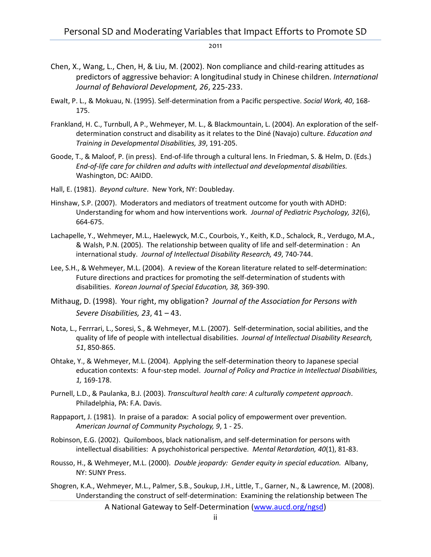- Chen, X., Wang, L., Chen, H, & Liu, M. (2002). Non compliance and child-rearing attitudes as predictors of aggressive behavior: A longitudinal study in Chinese children. *International Journal of Behavioral Development, 26*, 225-233.
- Ewalt, P. L., & Mokuau, N. (1995). Self-determination from a Pacific perspective. *Social Work, 40*, 168- 175.
- Frankland, H. C., Turnbull, A P., Wehmeyer, M. L., & Blackmountain, L. (2004). An exploration of the selfdetermination construct and disability as it relates to the Diné (Navajo) culture. *Education and Training in Developmental Disabilities, 39*, 191-205.
- Goode, T., & Maloof, P*.* (in press). End-of-life through a cultural lens. In Friedman, S. & Helm, D. (Eds.) *End-of-life care for children and adults with intellectual and developmental disabilities.*  Washington, DC: AAIDD.
- Hall, E. (1981). *Beyond culture*. New York, NY: Doubleday.
- Hinshaw, S.P. (2007). Moderators and mediators of treatment outcome for youth with ADHD: Understanding for whom and how interventions work. *Journal of Pediatric Psychology, 32*(6), 664-675.
- Lachapelle, Y., Wehmeyer, M.L., Haelewyck, M.C., Courbois, Y., Keith, K.D., Schalock, R., Verdugo, M.A., & Walsh, P.N. (2005). The relationship between quality of life and self-determination : An international study. *Journal of Intellectual Disability Research, 49*, 740-744.
- Lee, S.H., & Wehmeyer, M.L. (2004). A review of the Korean literature related to self-determination: Future directions and practices for promoting the self-determination of students with disabilities. *Korean Journal of Special Education, 38,* 369-390.
- Mithaug, D. (1998). Your right, my obligation? *Journal of the Association for Persons with Severe Disabilities, 23*, 41 – 43.
- Nota, L., Ferrrari, L., Soresi, S., & Wehmeyer, M.L. (2007). Self-determination, social abilities, and the quality of life of people with intellectual disabilities. *Journal of Intellectual Disability Research, 51*, 850-865.
- Ohtake, Y., & Wehmeyer, M.L. (2004). Applying the self-determination theory to Japanese special education contexts: A four-step model. *Journal of Policy and Practice in Intellectual Disabilities, 1,* 169-178.
- Purnell, L.D., & Paulanka, B.J. (2003). *Transcultural health care: A culturally competent approach*. Philadelphia, PA: F.A. Davis.
- Rappaport, J. (1981). In praise of a paradox: A social policy of empowerment over prevention. *American Journal of Community Psychology, 9*, 1 - 25.
- Robinson, E.G. (2002). Quilomboos, black nationalism, and self-determination for persons with intellectual disabilities: A psychohistorical perspective. *Mental Retardation, 40*(1), 81-83.
- Rousso, H., & Wehmeyer, M.L. (2000). *Double jeopardy: Gender equity in special education.* Albany, NY: SUNY Press.
- Shogren, K.A., Wehmeyer, M.L., Palmer, S.B., Soukup, J.H., Little, T., Garner, N., & Lawrence, M. (2008). Understanding the construct of self-determination: Examining the relationship between The